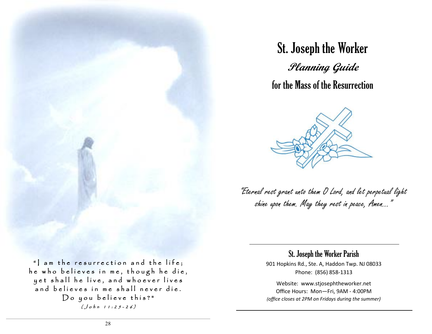

# St. Joseph the Worker

**Planning Guide** 

for the Mass of the Resurrection



"Eternal rest grant unto them O Lord, and let perpetual light shine upon them. May they rest in peace, Amen…"

St. Joseph the Worker Parish

901 Hopkins Rd., Ste. A, Haddon Twp. NJ 08033 Phone: (856) 858-1313

Website: www.stjosephtheworker.net Office Hours: Mon—Fri, 9AM - 4:00PM *(office closes at 2PM on Fridays during the summer)*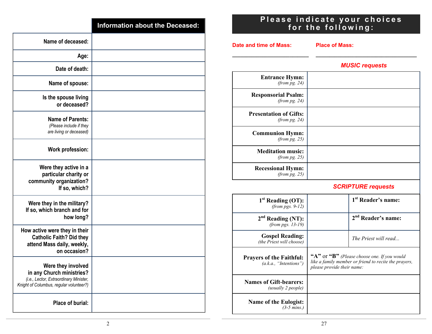|                                                                                                                                      | <b>Information about the Deceased:</b> |
|--------------------------------------------------------------------------------------------------------------------------------------|----------------------------------------|
| Name of deceased:                                                                                                                    |                                        |
| Age:                                                                                                                                 |                                        |
| Date of death:                                                                                                                       |                                        |
| Name of spouse:                                                                                                                      |                                        |
| Is the spouse living<br>or deceased?                                                                                                 |                                        |
| <b>Name of Parents:</b><br>(Please include if they<br>are living or deceased)                                                        |                                        |
| Work profession:                                                                                                                     |                                        |
| Were they active in a<br>particular charity or<br>community organization?<br>If so, which?                                           |                                        |
| Were they in the military?<br>If so, which branch and for<br>how long?                                                               |                                        |
| How active were they in their<br><b>Catholic Faith? Did they</b><br>attend Mass daily, weekly,<br>on occasion?                       |                                        |
| Were they involved<br>in any Church ministries?<br>(i.e., Lector, Extraordinary Minister,<br>Knight of Columbus, regular volunteer?) |                                        |
| <b>Place of burial:</b>                                                                                                              |                                        |

## **P l e a s e i n d i c a t e y o u r c h o i c e s f o r t h e f o l l o w i n g :**

**Date and time of Mass:**

**\_\_\_\_\_\_\_\_\_\_\_\_\_\_\_\_\_\_\_\_\_\_\_\_\_\_\_\_**

**Place of Mass:**

#### *MUSIC requests*

**\_\_\_\_\_\_\_\_\_\_\_\_\_\_\_\_\_\_\_\_\_\_\_\_\_\_\_\_\_\_\_\_\_\_\_\_\_**

|                                                                                                                                    | <b>Entrance Hymn:</b><br>(from pg. 24)                     |
|------------------------------------------------------------------------------------------------------------------------------------|------------------------------------------------------------|
|                                                                                                                                    | <b>Responsorial Psalm:</b><br>(from pg. 24)                |
|                                                                                                                                    | <b>Presentation of Gifts:</b><br>(from pg. 24)             |
|                                                                                                                                    | <b>Communion Hymn:</b><br>$(from \pg. 25)$                 |
|                                                                                                                                    | <b>Meditation music:</b><br>(from pg. 25)                  |
|                                                                                                                                    | <b>Recessional Hymn:</b><br>$(from$ $pg. 25)$              |
| <b>SCRIPTURE requests</b>                                                                                                          |                                                            |
| 1 <sup>st</sup> Reader's name:                                                                                                     | $1st$ Reading (OT):<br>(from $\overline{pgs}$ , 9-12)      |
| 2 <sup>nd</sup> Reader's name:                                                                                                     | $2nd$ Reading (NT):<br>(from $pgs.$ 13-19)                 |
| The Priest will read                                                                                                               | <b>Gospel Reading:</b><br>(the Priest will choose)         |
| "A" or "B" (Please choose one. If you would<br>like a family member or friend to recite the prayers,<br>please provide their name: | <b>Prayers of the Faithful:</b><br>(a.k.a., 'Intentions'') |
|                                                                                                                                    | <b>Names of Gift-bearers:</b><br>(usually 2 people)        |
|                                                                                                                                    | Name of the Eulogist:<br>$(3-5$ mins.)                     |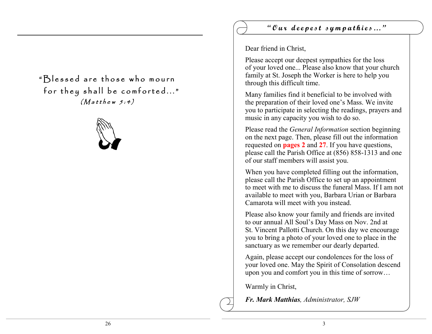"Blessed are those who mourn for they shall be comforted..."  $(M$ atthew  $5:4)$ 



## **" O u r d e e pe s t s y m p a t h i e s … "**

Dear friend in Christ,

Please accept our deepest sympathies for the loss of your loved one... Please also know that your church family at St. Joseph the Worker is here to help you through this difficult time.

Many families find it beneficial to be involved with the preparation of their loved one's Mass. We invite you to participate in selecting the readings, prayers and music in any capacity you wish to do so.

Please read the *General Information* section beginning on the next page. Then, please fill out the information requested on **pages 2** and **27**. If you have questions, please call the Parish Office at (856) 858-1313 and one of our staff members will assist you.

When you have completed filling out the information, please call the Parish Office to set up an appointment to meet with me to discuss the funeral Mass. If I am not available to meet with you, Barbara Urian or Barbara Camarota will meet with you instead.

Please also know your family and friends are invited to our annual All Soul's Day Mass on Nov. 2nd at St. Vincent Pallotti Church. On this day we encourage you to bring a photo of your loved one to place in the sanctuary as we remember our dearly departed.

Again, please accept our condolences for the loss of your loved one. May the Spirit of Consolation descend upon you and comfort you in this time of sorrow…

Warmly in Christ,

*Fr. Mark Matthias, Administrator, SJW*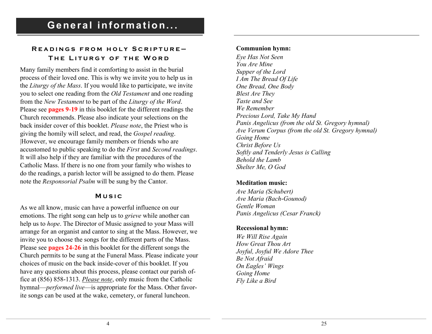## **READINGS FROM HOLY SCRIPTURE-THE LITURGY OF THE WORD**

Many family members find it comforting to assist in the burial process of their loved one. This is why we invite you to help us in the *Liturgy of the Mass*. If you would like to participate, we invite you to select one reading from the *Old Testament* and one reading from the *New Testament* to be part of the *Liturgy of the Word*. Please see **pages 9-19** in this booklet for the different readings the Church recommends. Please also indicate your selections on the back insider cover of this booklet. *Please note*, the Priest who is giving the homily will select, and read, the *Gospel reading*. |However, we encourage family members or friends who are accustomed to public speaking to do the *First* and *Second readings*. It will also help if they are familiar with the procedures of the Catholic Mass. If there is no one from your family who wishes to do the readings, a parish lector will be assigned to do them. Please note the *Responsorial Psalm* will be sung by the Cantor.

#### **M u s i c**

As we all know, music can have a powerful influence on our emotions. The right song can help us to *grieve* while another can help us to *hope*. The Director of Music assigned to your Mass will arrange for an organist and cantor to sing at the Mass. However, we invite you to choose the songs for the different parts of the Mass. Please see **pages 24-26** in this booklet for the different songs the Church permits to be sung at the Funeral Mass. Please indicate your choices of music on the back inside-cover of this booklet. If you have any questions about this process, please contact our parish office at (856) 858-1313. *Please note*, only music from the Catholic hymnal—*performed live*—is appropriate for the Mass. Other favorite songs can be used at the wake, cemetery, or funeral luncheon.

#### **Communion hymn:**

*Eye Has Not Seen You Are Mine Supper of the Lord I Am The Bread Of Life One Bread, One Body Blest Are They Taste and See We Remember Precious Lord, Take My Hand Panis Angelicus (from the old St. Gregory hymnal) Ave Verum Corpus (from the old St. Gregory hymnal) Going Home Christ Before Us Softly and Tenderly Jesus is Calling Behold the Lamb Shelter Me, O God*

#### **Meditation music:**

*Ave Maria (Schubert) Ave Maria (Bach-Gounod) Gentle Woman Panis Angelicus (Cesar Franck)*

#### **Recessional hymn:**

*We Will Rise Again How Great Thou Art Joyful, Joyful We Adore Thee Be Not Afraid On Eagles' Wings Going Home Fly Like a Bird*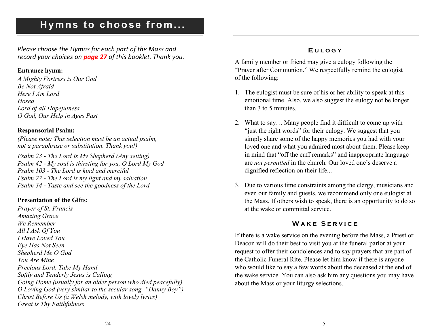## **Hymns to choose from...**

*Please choose the Hymns for each part of the Mass and record your choices on page 27 of this booklet. Thank you.*

#### **Entrance hymn:**

*A Mighty Fortress is Our God Be Not Afraid Here I Am Lord Hosea Lord of all Hopefulness O God, Our Help in Ages Past*

#### **Responsorial Psalm:**

*(Please note: This selection must be an actual psalm, not a paraphrase or substitution. Thank you!)* 

*Psalm 23 - The Lord Is My Shepherd (Any setting) Psalm 42 - My soul is thirsting for you, O Lord My God Psalm 103 - The Lord is kind and merciful Psalm 27 - The Lord is my light and my salvation Psalm 34 - Taste and see the goodness of the Lord*

## **Presentation of the Gifts:**

*Prayer of St. Francis Amazing Grace We Remember All I Ask Of You I Have Loved You Eye Has Not Seen Shepherd Me O God You Are Mine Precious Lord, Take My Hand Softly and Tenderly Jesus is Calling Going Home (usually for an older person who died peacefully) O Loving God (very similar to the secular song, "Danny Boy") Christ Before Us (a Welsh melody, with lovely lyrics) Great is Thy Faithfulness*

## **E u l o g y**

A family member or friend may give a eulogy following the "Prayer after Communion." We respectfully remind the eulogist of the following:

- 1. The eulogist must be sure of his or her ability to speak at this emotional time. Also, we also suggest the eulogy not be longer than 3 to 5 minutes.
- 2. What to say… Many people find it difficult to come up with "just the right words" for their eulogy. We suggest that you simply share some of the happy memories you had with your loved one and what you admired most about them. Please keep in mind that "off the cuff remarks" and inappropriate language are *not permitted* in the church. Our loved one's deserve a dignified reflection on their life...
- 3. Due to various time constraints among the clergy, musicians and even our family and guests, we recommend only one eulogist at the Mass. If others wish to speak, there is an opportunity to do so at the wake or committal service.

#### WAKE SERVICE

If there is a wake service on the evening before the Mass, a Priest or Deacon will do their best to visit you at the funeral parlor at your request to offer their condolences and to say prayers that are part of the Catholic Funeral Rite. Please let him know if there is anyone who would like to say a few words about the deceased at the end of the wake service. You can also ask him any questions you may have about the Mass or your liturgy selections.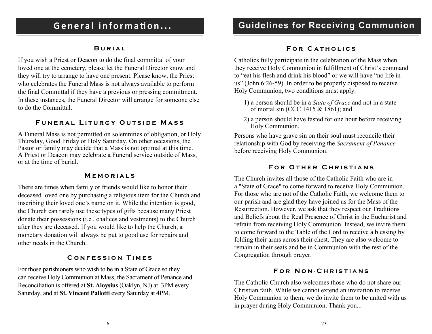## **G e n e r a l i n f o r m a ti o n . . .**

#### **B u r i a l**

If you wish a Priest or Deacon to do the final committal of your loved one at the cemetery, please let the Funeral Director know and they will try to arrange to have one present. Please know, the Priest who celebrates the Funeral Mass is not always available to perform the final Committal if they have a previous or pressing commitment. In these instances, the Funeral Director will arrange for someone else to do the Committal.

## **FUNERAL LITURGY OUTSIDE MASS**

A Funeral Mass is not permitted on solemnities of obligation, or Holy Thursday, Good Friday or Holy Saturday. On other occasions, the Pastor or family may decide that a Mass is not optimal at this time. A Priest or Deacon may celebrate a Funeral service outside of Mass, or at the time of burial.

#### **M e m o r i a l s**

There are times when family or friends would like to honor their deceased loved one by purchasing a religious item for the Church and inscribing their loved one's name on it. While the intention is good, the Church can rarely use these types of gifts because many Priest donate their possessions (i.e., chalices and vestments) to the Church after they are deceased. If you would like to help the Church, a monetary donation will always be put to good use for repairs and other needs in the Church.

## **CONFESSION TIMES**

For those parishioners who wish to be in a State of Grace so they can receive Holy Communion at Mass, the Sacrament of Penance and Reconciliation is offered at **St. Aloysius** (Oaklyn, NJ) at 3PM every Saturday, and at St. Vincent Pallotti every Saturday at 4PM.

## **Guidelines for Receiving Communion**

## **FOR CATHOLICS**

Catholics fully participate in the celebration of the Mass when they receive Holy Communion in fulfillment of Christ's command to "eat his flesh and drink his blood" or we will have "no life in us" (John 6:26-59). In order to be properly disposed to receive Holy Communion, two conditions must apply:

- 1) a person should be in a *State of Grace* and not in a state of mortal sin (CCC 1415  $& 1861$ ); and
- 2) a person should have fasted for one hour before receiving Holy Communion.

Persons who have grave sin on their soul must reconcile their relationship with God by receiving the *Sacrament of Penance*  before receiving Holy Communion.

## **FOR OTHER CHRISTIANS**

The Church invites all those of the Catholic Faith who are in a "State of Grace" to come forward to receive Holy Communion. For those who are not of the Catholic Faith, we welcome them to our parish and are glad they have joined us for the Mass of the Resurrection. However, we ask that they respect our Traditions and Beliefs about the Real Presence of Christ in the Eucharist and refrain from receiving Holy Communion. Instead, we invite them to come forward to the Table of the Lord to receive a blessing by folding their arms across their chest. They are also welcome to remain in their seats and be in Communion with the rest of the Congregation through prayer.

#### **F o r N o n - C h r i s t i a n s**

The Catholic Church also welcomes those who do not share our Christian faith. While we cannot extend an invitation to receive Holy Communion to them, we do invite them to be united with us in prayer during Holy Communion. Thank you...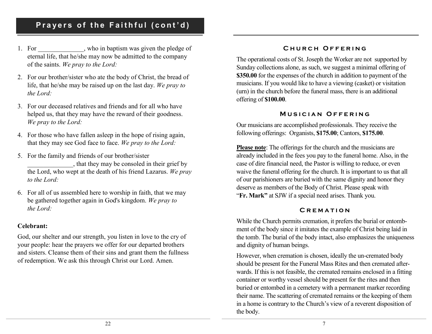- 1. For who in baptism was given the pledge of eternal life, that he/she may now be admitted to the company of the saints. *We pray to the Lord:*
- 2. For our brother/sister who ate the body of Christ, the bread of life, that he/she may be raised up on the last day. *We pray to the Lord:*
- 3. For our deceased relatives and friends and for all who have helped us, that they may have the reward of their goodness. *We pray to the Lord:*
- 4. For those who have fallen asleep in the hope of rising again, that they may see God face to face. *We pray to the Lord:*
- 5. For the family and friends of our brother/sister \_\_\_\_\_\_\_\_\_\_\_\_\_\_, that they may be consoled in their grief by the Lord, who wept at the death of his friend Lazarus. *We pray to the Lord:*
- 6. For all of us assembled here to worship in faith, that we may be gathered together again in God's kingdom. *We pray to the Lord:*

#### **Celebrant:**

God, our shelter and our strength, you listen in love to the cry of your people: hear the prayers we offer for our departed brothers and sisters. Cleanse them of their sins and grant them the fullness of redemption. We ask this through Christ our Lord. Amen.

## C HURCH OFFERING

The operational costs of St. Joseph the Worker are not supported by Sunday collections alone, as such, we suggest a minimal offering of **\$350.00** for the expenses of the church in addition to payment of the musicians. If you would like to have a viewing (casket) or visitation (urn) in the church before the funeral mass, there is an additional offering of **\$100.00**.

#### **MUSICIAN OFFERING**

Our musicians are accomplished professionals. They receive the following offerings: Organists, **\$175.00**; Cantors, **\$175.00**.

**Please note**: The offerings for the church and the musicians are already included in the fees you pay to the funeral home. Also, in the case of dire financial need, the Pastor is willing to reduce, or even waive the funeral offering for the church. It is important to us that all of our parishioners are buried with the same dignity and honor they deserve as members of the Body of Christ. Please speak with "**Fr. Mark"** at SJW if a special need arises. Thank you.

#### **C r e m a t i o n**

While the Church permits cremation, it prefers the burial or entombment of the body since it imitates the example of Christ being laid in the tomb. The burial of the body intact, also emphasizes the uniqueness and dignity of human beings.

However, when cremation is chosen, ideally the un-cremated body should be present for the Funeral Mass Rites and then cremated afterwards. If this is not feasible, the cremated remains enclosed in a fitting container or worthy vessel should be present for the rites and then buried or entombed in a cemetery with a permanent marker recording their name. The scattering of cremated remains or the keeping of them in a home is contrary to the Church's view of a reverent disposition of the body.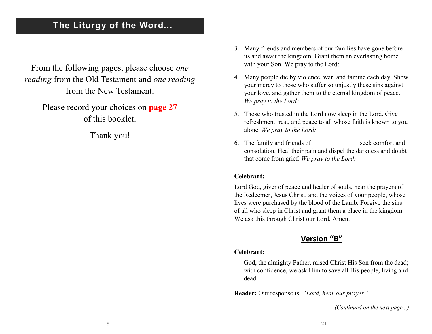## **The Liturgy of the Word...**

From the following pages, please choose *one reading* from the Old Testament and *one reading*  from the New Testament.

> Please record your choices on **page 27**  of this booklet.

> > Thank you!

- 3. Many friends and members of our families have gone before us and await the kingdom. Grant them an everlasting home with your Son. We pray to the Lord:
- 4. Many people die by violence, war, and famine each day. Show your mercy to those who suffer so unjustly these sins against your love, and gather them to the eternal kingdom of peace. *We pray to the Lord:*
- 5. Those who trusted in the Lord now sleep in the Lord. Give refreshment, rest, and peace to all whose faith is known to you alone. *We pray to the Lord:*
- 6. The family and friends of seek comfort and consolation. Heal their pain and dispel the darkness and doubt that come from grief. *We pray to the Lord:*

#### **Celebrant:**

Lord God, giver of peace and healer of souls, hear the prayers of the Redeemer, Jesus Christ, and the voices of your people, whose lives were purchased by the blood of the Lamb. Forgive the sins of all who sleep in Christ and grant them a place in the kingdom. We ask this through Christ our Lord. Amen.

## **Version "B"**

#### **Celebrant:**

God, the almighty Father, raised Christ His Son from the dead; with confidence, we ask Him to save all His people, living and dead:

**Reader:** Our response is: *"Lord, hear our prayer."*

*(Continued on the next page...)*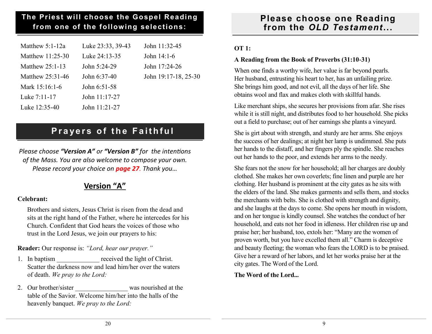## **The Priest will choose the Gospel Reading from one of the following selections:**

| Matthew $5:1-12a$ | Luke 23:33, 39-43 | John 11:32-45        |
|-------------------|-------------------|----------------------|
| Matthew 11:25-30  | Luke 24:13-35     | John 14:1-6          |
| Matthew $25:1-13$ | John 5:24-29      | John 17:24-26        |
| Matthew 25:31-46  | John 6:37-40      | John 19:17-18, 25-30 |
| Mark 15:16:1-6    | John 6:51-58      |                      |
| Luke 7:11-17      | John 11:17-27     |                      |
| Luke 12:35-40     | John 11:21-27     |                      |
|                   |                   |                      |

## **Prayers of the Faithful**

*Please choose "Version A" or "Version B" for the intentions of the Mass. You are also welcome to compose your own. Please record your choice on page 27. Thank you…*

## **Version "A"**

#### **Celebrant:**

Brothers and sisters, Jesus Christ is risen from the dead and sits at the right hand of the Father, where he intercedes for his Church. Confident that God hears the voices of those who trust in the Lord Jesus, we join our prayers to his:

**Reader:** Our response is: *"Lord, hear our prayer."*

- 1. In baptism received the light of Christ. Scatter the darkness now and lead him/her over the waters of death. *We pray to the Lord:*
- 2. Our brother/sister was nourished at the table of the Savior. Welcome him/her into the halls of the heavenly banquet. *We pray to the Lord:*

## **Please choose one Reading from the** *OLD Testament***...**

#### **OT 1:**

#### **A Reading from the Book of Proverbs (31:10-31)**

When one finds a worthy wife, her value is far beyond pearls. Her husband, entrusting his heart to her, has an unfailing prize. She brings him good, and not evil, all the days of her life. She obtains wool and flax and makes cloth with skillful hands.

Like merchant ships, she secures her provisions from afar. She rises while it is still night, and distributes food to her household. She picks out a field to purchase; out of her earnings she plants a vineyard.

She is girt about with strength, and sturdy are her arms. She enjoys the success of her dealings; at night her lamp is undimmed. She puts her hands to the distaff, and her fingers ply the spindle. She reaches out her hands to the poor, and extends her arms to the needy.

She fears not the snow for her household; all her charges are doubly clothed. She makes her own coverlets; fine linen and purple are her clothing. Her husband is prominent at the city gates as he sits with the elders of the land. She makes garments and sells them, and stocks the merchants with belts. She is clothed with strength and dignity, and she laughs at the days to come. She opens her mouth in wisdom, and on her tongue is kindly counsel. She watches the conduct of her household, and eats not her food in idleness. Her children rise up and praise her; her husband, too, extols her: "Many are the women of proven worth, but you have excelled them all." Charm is deceptive and beauty fleeting; the woman who fears the LORD is to be praised. Give her a reward of her labors, and let her works praise her at the city gates. The Word of the Lord.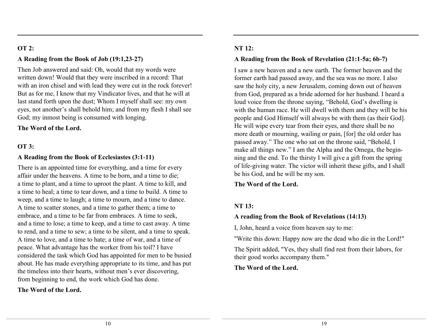#### **OT 2:**

## **A Reading from the Book of Job (19:1,23-27)**

Then Job answered and said: Oh, would that my words were written down! Would that they were inscribed in a record: That with an iron chisel and with lead they were cut in the rock forever! But as for me, I know that my Vindicator lives, and that he will at last stand forth upon the dust; Whom I myself shall see: my own eyes, not another's shall behold him; and from my flesh I shall see God; my inmost being is consumed with longing.

#### **The Word of the Lord.**

#### **OT 3:**

## **A Reading from the Book of Ecclesiastes (3:1-11)**

There is an appointed time for everything, and a time for every affair under the heavens. A time to be born, and a time to die; a time to plant, and a time to uproot the plant. A time to kill, and a time to heal; a time to tear down, and a time to build. A time to weep, and a time to laugh; a time to mourn, and a time to dance. A time to scatter stones, and a time to gather them; a time to embrace, and a time to be far from embraces. A time to seek, and a time to lose; a time to keep, and a time to cast away. A time to rend, and a time to sew; a time to be silent, and a time to speak. A time to love, and a time to hate; a time of war, and a time of peace. What advantage has the worker from his toil? I have considered the task which God has appointed for men to be busied about. He has made everything appropriate to its time, and has put the timeless into their hearts, without men's ever discovering, from beginning to end, the work which God has done.

#### **The Word of the Lord.**

## **NT 12:**

#### **A Reading from the Book of Revelation (21:1-5a; 6b-7)**

I saw a new heaven and a new earth. The former heaven and the former earth had passed away, and the sea was no more. I also saw the holy city, a new Jerusalem, coming down out of heaven from God, prepared as a bride adorned for her husband. I heard a loud voice from the throne saying, "Behold, God's dwelling is with the human race. He will dwell with them and they will be his people and God Himself will always be with them (as their God]. He will wipe every tear from their eyes, and there shall be no more death or mourning, wailing or pain, [for] the old order has passed away." The one who sat on the throne said, "Behold, I make all things new." I am the Alpha and the Omega, the beginning and the end. To the thirsty I will give a gift from the spring of life-giving water. The victor will inherit these gifts, and I shall be his God, and he will be my son.

#### **The Word of the Lord.**

#### **NT 13:**

#### **A reading from the Book of Revelations (14:13)**

I, John, heard a voice from heaven say to me:

"Write this down: Happy now are the dead who die in the Lord!"

The Spirit added, "Yes, they shall find rest from their labors, for their good works accompany them."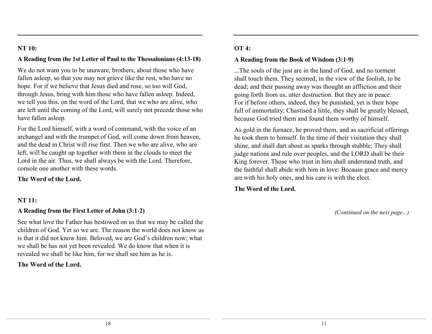#### **NT 10:**

#### **A Reading from the 1st Letter of Paul to the Thessalonians (4:13-18)**

We do not want you to be unaware, brothers, about those who have fallen asleep, so that you may not grieve like the rest, who have no hope. For if we believe that Jesus died and rose, so too will God, through Jesus, bring with him those who have fallen asleep. Indeed, we tell you this, on the word of the Lord, that we who are alive, who are left until the coming of the Lord, will surely not precede those who have fallen asleep.

For the Lord himself, with a word of command, with the voice of an archangel and with the trumpet of God, will come down from heaven, and the dead in Christ will rise first. Then we who are alive, who are left, will be caught up together with them in the clouds to meet the Lord in the air. Thus, we shall always be with the Lord. Therefore, console one another with these words.

**The Word of the Lord.**

#### **NT 11:**

#### **A Reading from the First Letter of John (3:1-2)**

See what love the Father has bestowed on us that we may be called the children of God. Yet so we are. The reason the world does not know us is that it did not know him. Beloved, we are God's children now; what we shall be has not yet been revealed. We do know that when it is revealed we shall be like him, for we shall see him as he is.

#### **The Word of the Lord.**

#### **OT 4:**

#### **A Reading from the Book of Wisdom (3:1-9)**

...The souls of the just are in the hand of God, and no torment shall touch them. They seemed, in the view of the foolish, to be dead; and their passing away was thought an affliction and their going forth from us, utter destruction. But they are in peace. For if before others, indeed, they be punished, yet is their hope full of immortality; Chastised a little, they shall be greatly blessed, because God tried them and found them worthy of himself.

As gold in the furnace, he proved them, and as sacrificial offerings he took them to himself. In the time of their visitation they shall shine, and shall dart about as sparks through stubble; They shall judge nations and rule over peoples, and the LORD shall be their King forever. Those who trust in him shall understand truth, and the faithful shall abide with him in love: Because grace and mercy are with his holy ones, and his care is with the elect.

**The Word of the Lord.** 

*(Continued on the next page...)*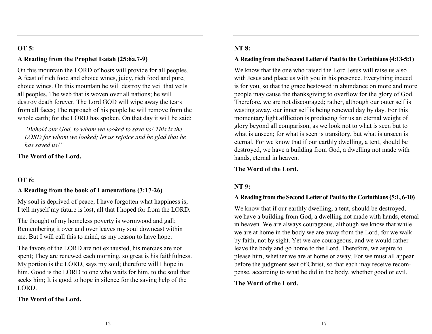## **OT 5:**

## **A Reading from the Prophet Isaiah (25:6a,7-9)**

On this mountain the LORD of hosts will provide for all peoples. A feast of rich food and choice wines, juicy, rich food and pure, choice wines. On this mountain he will destroy the veil that veils all peoples, The web that is woven over all nations; he will destroy death forever. The Lord GOD will wipe away the tears from all faces; The reproach of his people he will remove from the whole earth; for the LORD has spoken. On that day it will be said:

*"Behold our God, to whom we looked to save us! This is the LORD for whom we looked; let us rejoice and be glad that he has saved us!"* 

**The Word of the Lord.**

## **OT 6:**

## **A Reading from the book of Lamentations (3:17-26)**

My soul is deprived of peace, I have forgotten what happiness is; I tell myself my future is lost, all that I hoped for from the LORD.

The thought of my homeless poverty is wormwood and gall; Remembering it over and over leaves my soul downcast within me. But I will call this to mind, as my reason to have hope:

The favors of the LORD are not exhausted, his mercies are not spent; They are renewed each morning, so great is his faithfulness. My portion is the LORD, says my soul; therefore will I hope in him. Good is the LORD to one who waits for him, to the soul that seeks him; It is good to hope in silence for the saving help of the LORD.

## **The Word of the Lord.**

## **NT 8:**

#### **A Reading from the Second Letter of Paul to the Corinthians (4:13-5:1)**

We know that the one who raised the Lord Jesus will raise us also with Jesus and place us with you in his presence. Everything indeed is for you, so that the grace bestowed in abundance on more and more people may cause the thanksgiving to overflow for the glory of God. Therefore, we are not discouraged; rather, although our outer self is wasting away, our inner self is being renewed day by day. For this momentary light affliction is producing for us an eternal weight of glory beyond all comparison, as we look not to what is seen but to what is unseen; for what is seen is transitory, but what is unseen is eternal. For we know that if our earthly dwelling, a tent, should be destroyed, we have a building from God, a dwelling not made with hands, eternal in heaven.

#### **The Word of the Lord.**

## **NT 9:**

## **A Reading from the Second Letter of Paul to the Corinthians (5:1, 6-10)**

We know that if our earthly dwelling, a tent, should be destroyed, we have a building from God, a dwelling not made with hands, eternal in heaven. We are always courageous, although we know that while we are at home in the body we are away from the Lord, for we walk by faith, not by sight. Yet we are courageous, and we would rather leave the body and go home to the Lord. Therefore, we aspire to please him, whether we are at home or away. For we must all appear before the judgment seat of Christ, so that each may receive recompense, according to what he did in the body, whether good or evil.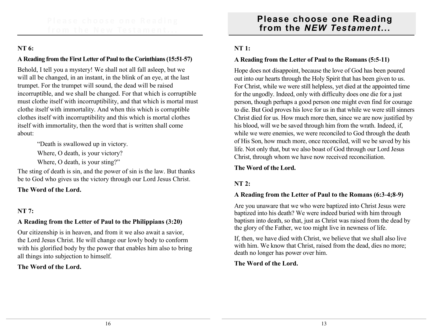## **NT 6:**

## **A Reading from the First Letter of Paul to the Corinthians (15:51-57)**

Behold, I tell you a mystery! We shall not all fall asleep, but we will all be changed, in an instant, in the blink of an eye, at the last trumpet. For the trumpet will sound, the dead will be raised incorruptible, and we shall be changed. For that which is corruptible must clothe itself with incorruptibility, and that which is mortal must clothe itself with immortality. And when this which is corruptible clothes itself with incorruptibility and this which is mortal clothes itself with immortality, then the word that is written shall come about:

"Death is swallowed up in victory.

Where, O death, is your victory?

Where, O death, is your sting?"

The sting of death is sin, and the power of sin is the law. But thanks be to God who gives us the victory through our Lord Jesus Christ.

**The Word of the Lord.**

## **NT 7:**

## **A Reading from the Letter of Paul to the Philippians (3:20)**

Our citizenship is in heaven, and from it we also await a savior, the Lord Jesus Christ. He will change our lowly body to conform with his glorified body by the power that enables him also to bring all things into subjection to himself.

## **The Word of the Lord.**

## **NT 1:**

#### **A Reading from the Letter of Paul to the Romans (5:5-11)**

Hope does not disappoint, because the love of God has been poured out into our hearts through the Holy Spirit that has been given to us. For Christ, while we were still helpless, yet died at the appointed time for the ungodly. Indeed, only with difficulty does one die for a just person, though perhaps a good person one might even find for courage to die. But God proves his love for us in that while we were still sinners Christ died for us. How much more then, since we are now justified by his blood, will we be saved through him from the wrath. Indeed, if, while we were enemies, we were reconciled to God through the death of His Son, how much more, once reconciled, will we be saved by his life. Not only that, but we also boast of God through our Lord Jesus Christ, through whom we have now received reconciliation.

## **The Word of the Lord.**

## **NT 2:**

## **A Reading from the Letter of Paul to the Romans (6:3-4;8-9)**

Are you unaware that we who were baptized into Christ Jesus were baptized into his death? We were indeed buried with him through baptism into death, so that, just as Christ was raised from the dead by the glory of the Father, we too might live in newness of life.

If, then, we have died with Christ, we believe that we shall also live with him. We know that Christ, raised from the dead, dies no more; death no longer has power over him.